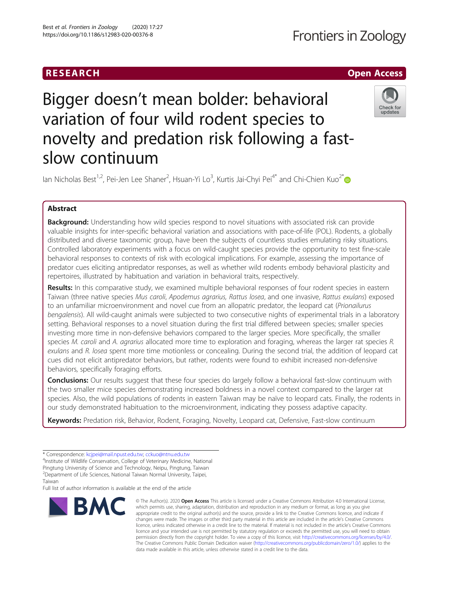## RESEARCH **RESEARCH CHOOSE ACCESS**

# Bigger doesn't mean bolder: behavioral variation of four wild rodent species to novelty and predation risk following a fastslow continuum



lan Nicholas Best<sup>1,2</sup>, Pei-Jen Lee Shaner<sup>2</sup>, Hsuan-Yi Lo<sup>3</sup>, Kurtis Jai-Chyi Pei<sup>4\*</sup> and Chi-Chien Kuo<sup>2\*</sup>

### Abstract

**Background:** Understanding how wild species respond to novel situations with associated risk can provide valuable insights for inter-specific behavioral variation and associations with pace-of-life (POL). Rodents, a globally distributed and diverse taxonomic group, have been the subjects of countless studies emulating risky situations. Controlled laboratory experiments with a focus on wild-caught species provide the opportunity to test fine-scale behavioral responses to contexts of risk with ecological implications. For example, assessing the importance of predator cues eliciting antipredator responses, as well as whether wild rodents embody behavioral plasticity and repertoires, illustrated by habituation and variation in behavioral traits, respectively.

Results: In this comparative study, we examined multiple behavioral responses of four rodent species in eastern Taiwan (three native species Mus caroli, Apodemus agrarius, Rattus losea, and one invasive, Rattus exulans) exposed to an unfamiliar microenvironment and novel cue from an allopatric predator, the leopard cat (Prionailurus bengalensis). All wild-caught animals were subjected to two consecutive nights of experimental trials in a laboratory setting. Behavioral responses to a novel situation during the first trial differed between species; smaller species investing more time in non-defensive behaviors compared to the larger species. More specifically, the smaller species M. caroli and A. agrarius allocated more time to exploration and foraging, whereas the larger rat species R. exulans and R. losea spent more time motionless or concealing. During the second trial, the addition of leopard cat cues did not elicit antipredator behaviors, but rather, rodents were found to exhibit increased non-defensive behaviors, specifically foraging efforts.

**Conclusions:** Our results suggest that these four species do largely follow a behavioral fast-slow continuum with the two smaller mice species demonstrating increased boldness in a novel context compared to the larger rat species. Also, the wild populations of rodents in eastern Taiwan may be naïve to leopard cats. Finally, the rodents in our study demonstrated habituation to the microenvironment, indicating they possess adaptive capacity.

Keywords: Predation risk, Behavior, Rodent, Foraging, Novelty, Leopard cat, Defensive, Fast-slow continuum

Full list of author information is available at the end of the article



<sup>©</sup> The Author(s), 2020 **Open Access** This article is licensed under a Creative Commons Attribution 4.0 International License, which permits use, sharing, adaptation, distribution and reproduction in any medium or format, as long as you give appropriate credit to the original author(s) and the source, provide a link to the Creative Commons licence, and indicate if changes were made. The images or other third party material in this article are included in the article's Creative Commons licence, unless indicated otherwise in a credit line to the material. If material is not included in the article's Creative Commons licence and your intended use is not permitted by statutory regulation or exceeds the permitted use, you will need to obtain permission directly from the copyright holder. To view a copy of this licence, visit [http://creativecommons.org/licenses/by/4.0/.](http://creativecommons.org/licenses/by/4.0/) The Creative Commons Public Domain Dedication waiver [\(http://creativecommons.org/publicdomain/zero/1.0/](http://creativecommons.org/publicdomain/zero/1.0/)) applies to the data made available in this article, unless otherwise stated in a credit line to the data.

<sup>\*</sup> Correspondence: [kcjpei@mail.npust.edu.tw;](mailto:kcjpei@mail.npust.edu.tw) [cckuo@ntnu.edu.tw](mailto:cckuo@ntnu.edu.tw) <sup>4</sup>

<sup>&</sup>lt;sup>4</sup>Institute of Wildlife Conservation, College of Veterinary Medicine, National Pingtung University of Science and Technology, Neipu, Pingtung, Taiwan

<sup>2</sup> Department of Life Sciences, National Taiwan Normal University, Taipei,

Taiwan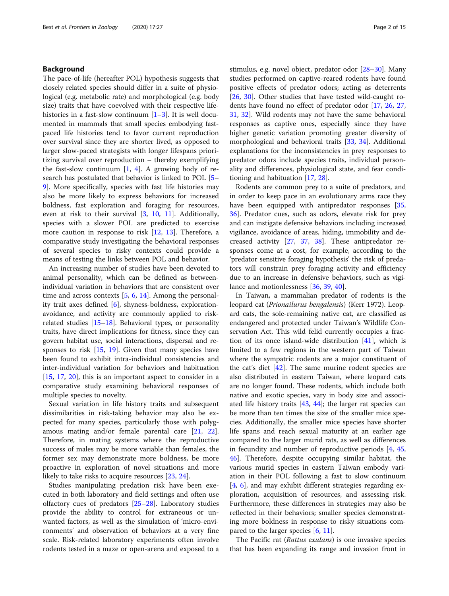#### Background

The pace-of-life (hereafter POL) hypothesis suggests that closely related species should differ in a suite of physiological (e.g. metabolic rate) and morphological (e.g. body size) traits that have coevolved with their respective lifehistories in a fast-slow continuum  $[1-3]$  $[1-3]$  $[1-3]$  $[1-3]$ . It is well documented in mammals that small species embodying fastpaced life histories tend to favor current reproduction over survival since they are shorter lived, as opposed to larger slow-paced strategists with longer lifespans prioritizing survival over reproduction – thereby exemplifying the fast-slow continuum  $[1, 4]$  $[1, 4]$  $[1, 4]$ . A growing body of research has postulated that behavior is linked to POL [[5](#page-12-0)– [9\]](#page-12-0). More specifically, species with fast life histories may also be more likely to express behaviors for increased boldness, fast exploration and foraging for resources, even at risk to their survival [\[3](#page-12-0), [10](#page-12-0), [11](#page-12-0)]. Additionally, species with a slower POL are predicted to exercise more caution in response to risk [[12,](#page-12-0) [13\]](#page-12-0). Therefore, a comparative study investigating the behavioral responses of several species to risky contexts could provide a means of testing the links between POL and behavior.

An increasing number of studies have been devoted to animal personality, which can be defined as betweenindividual variation in behaviors that are consistent over time and across contexts  $[5, 6, 14]$  $[5, 6, 14]$  $[5, 6, 14]$  $[5, 6, 14]$  $[5, 6, 14]$  $[5, 6, 14]$ . Among the personality trait axes defined [\[6](#page-12-0)], shyness-boldness, explorationavoidance, and activity are commonly applied to riskrelated studies [\[15](#page-12-0)–[18\]](#page-12-0). Behavioral types, or personality traits, have direct implications for fitness, since they can govern habitat use, social interactions, dispersal and responses to risk [[15](#page-12-0), [19\]](#page-12-0). Given that many species have been found to exhibit intra-individual consistencies and inter-individual variation for behaviors and habituation [[15,](#page-12-0) [17](#page-12-0), [20\]](#page-12-0), this is an important aspect to consider in a comparative study examining behavioral responses of multiple species to novelty.

Sexual variation in life history traits and subsequent dissimilarities in risk-taking behavior may also be expected for many species, particularly those with polygamous mating and/or female parental care [\[21,](#page-12-0) [22](#page-12-0)]. Therefore, in mating systems where the reproductive success of males may be more variable than females, the former sex may demonstrate more boldness, be more proactive in exploration of novel situations and more likely to take risks to acquire resources [\[23](#page-12-0), [24](#page-12-0)].

Studies manipulating predation risk have been executed in both laboratory and field settings and often use olfactory cues of predators [[25](#page-12-0)–[28](#page-12-0)]. Laboratory studies provide the ability to control for extraneous or unwanted factors, as well as the simulation of 'micro-environments' and observation of behaviors at a very fine scale. Risk-related laboratory experiments often involve rodents tested in a maze or open-arena and exposed to a stimulus, e.g. novel object, predator odor [\[28](#page-12-0)–[30\]](#page-13-0). Many studies performed on captive-reared rodents have found positive effects of predator odors; acting as deterrents [[26,](#page-12-0) [30\]](#page-13-0). Other studies that have tested wild-caught rodents have found no effect of predator odor [[17](#page-12-0), [26,](#page-12-0) [27](#page-12-0), [31,](#page-13-0) [32\]](#page-13-0). Wild rodents may not have the same behavioral responses as captive ones, especially since they have higher genetic variation promoting greater diversity of morphological and behavioral traits [\[33](#page-13-0), [34](#page-13-0)]. Additional explanations for the inconsistencies in prey responses to predator odors include species traits, individual personality and differences, physiological state, and fear conditioning and habituation [\[17](#page-12-0), [28\]](#page-12-0).

Rodents are common prey to a suite of predators, and in order to keep pace in an evolutionary arms race they have been equipped with antipredator responses [[35](#page-13-0), [36\]](#page-13-0). Predator cues, such as odors, elevate risk for prey and can instigate defensive behaviors including increased vigilance, avoidance of areas, hiding, immobility and decreased activity [\[27](#page-12-0), [37,](#page-13-0) [38](#page-13-0)]. These antipredator responses come at a cost, for example, according to the 'predator sensitive foraging hypothesis' the risk of predators will constrain prey foraging activity and efficiency due to an increase in defensive behaviors, such as vigilance and motionlessness [\[36](#page-13-0), [39](#page-13-0), [40\]](#page-13-0).

In Taiwan, a mammalian predator of rodents is the leopard cat (Prionailurus bengalensis) (Kerr 1972). Leopard cats, the sole-remaining native cat, are classified as endangered and protected under Taiwan's Wildlife Conservation Act. This wild felid currently occupies a fraction of its once island-wide distribution  $[41]$  $[41]$ , which is limited to a few regions in the western part of Taiwan where the sympatric rodents are a major constituent of the cat's diet  $[42]$  $[42]$ . The same murine rodent species are also distributed in eastern Taiwan, where leopard cats are no longer found. These rodents, which include both native and exotic species, vary in body size and associated life history traits [\[43,](#page-13-0) [44](#page-13-0)]; the larger rat species can be more than ten times the size of the smaller mice species. Additionally, the smaller mice species have shorter life spans and reach sexual maturity at an earlier age compared to the larger murid rats, as well as differences in fecundity and number of reproductive periods [[4,](#page-12-0) [45](#page-13-0), [46\]](#page-13-0). Therefore, despite occupying similar habitat, the various murid species in eastern Taiwan embody variation in their POL following a fast to slow continuum [[4,](#page-12-0) [6\]](#page-12-0), and may exhibit different strategies regarding exploration, acquisition of resources, and assessing risk. Furthermore, these differences in strategies may also be reflected in their behaviors; smaller species demonstrating more boldness in response to risky situations compared to the larger species [[6](#page-12-0), [11](#page-12-0)].

The Pacific rat (*Rattus exulans*) is one invasive species that has been expanding its range and invasion front in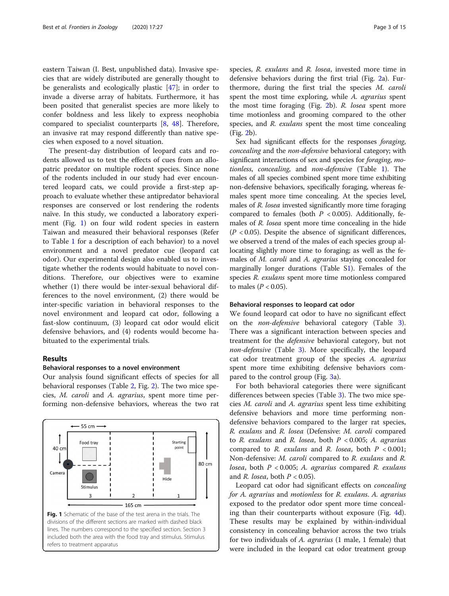<span id="page-2-0"></span>eastern Taiwan (I. Best, unpublished data). Invasive species that are widely distributed are generally thought to be generalists and ecologically plastic [\[47](#page-13-0)]; in order to invade a diverse array of habitats. Furthermore, it has been posited that generalist species are more likely to confer boldness and less likely to express neophobia compared to specialist counterparts [\[8](#page-12-0), [48\]](#page-13-0). Therefore, an invasive rat may respond differently than native species when exposed to a novel situation.

The present-day distribution of leopard cats and rodents allowed us to test the effects of cues from an allopatric predator on multiple rodent species. Since none of the rodents included in our study had ever encountered leopard cats, we could provide a first-step approach to evaluate whether these antipredator behavioral responses are conserved or lost rendering the rodents naïve. In this study, we conducted a laboratory experiment (Fig. 1) on four wild rodent species in eastern Taiwan and measured their behavioral responses (Refer to Table [1](#page-3-0) for a description of each behavior) to a novel environment and a novel predator cue (leopard cat odor). Our experimental design also enabled us to investigate whether the rodents would habituate to novel conditions. Therefore, our objectives were to examine whether (1) there would be inter-sexual behavioral differences to the novel environment, (2) there would be inter-specific variation in behavioral responses to the novel environment and leopard cat odor, following a fast-slow continuum, (3) leopard cat odor would elicit defensive behaviors, and (4) rodents would become habituated to the experimental trials.

#### Results

#### Behavioral responses to a novel environment

Our analysis found significant effects of species for all behavioral responses (Table [2](#page-3-0), Fig. [2\)](#page-4-0). The two mice species, M. caroli and A. agrarius, spent more time performing non-defensive behaviors, whereas the two rat



species, R. exulans and R. losea, invested more time in defensive behaviors during the first trial (Fig. [2a](#page-4-0)). Furthermore, during the first trial the species M. caroli spent the most time exploring, while A. *agrarius* spent the most time foraging (Fig. [2b](#page-4-0)). R. losea spent more time motionless and grooming compared to the other species, and R. exulans spent the most time concealing (Fig. [2](#page-4-0)b).

Sex had significant effects for the responses foraging, concealing and the non-defensive behavioral category; with significant interactions of sex and species for *foraging*, motionless, concealing, and non-defensive (Table [1\)](#page-3-0). The males of all species combined spent more time exhibiting non-defensive behaviors, specifically foraging, whereas females spent more time concealing. At the species level, males of R. losea invested significantly more time foraging compared to females (both  $P < 0.005$ ). Additionally, females of R. losea spent more time concealing in the hide  $(P < 0.05)$ . Despite the absence of significant differences, we observed a trend of the males of each species group allocating slightly more time to foraging; as well as the females of *M. caroli* and *A. agrarius* staying concealed for marginally longer durations (Table S[1\)](#page-11-0). Females of the species R. exulans spent more time motionless compared to males ( $P < 0.05$ ).

#### Behavioral responses to leopard cat odor

We found leopard cat odor to have no significant effect on the non-defensive behavioral category (Table [3](#page-5-0)). There was a significant interaction between species and treatment for the defensive behavioral category, but not non-defensive (Table [3\)](#page-5-0). More specifically, the leopard cat odor treatment group of the species A. agrarius spent more time exhibiting defensive behaviors compared to the control group (Fig. [3a](#page-6-0)).

For both behavioral categories there were significant differences between species (Table [3\)](#page-5-0). The two mice species M. caroli and A. agrarius spent less time exhibiting defensive behaviors and more time performing nondefensive behaviors compared to the larger rat species, R. exulans and R. losea (Defensive: M. caroli compared to R. exulans and R. losea, both  $P < 0.005$ ; A. agrarius compared to  $R$ . exulans and  $R$ . losea, both  $P < 0.001$ ; Non-defensive: M. caroli compared to R. exulans and R. losea, both  $P < 0.005$ ; A. agrarius compared R. exulans and R. losea, both  $P < 0.05$ ).

Leopard cat odor had significant effects on concealing for A. agrarius and motionless for R. exulans. A. agrarius exposed to the predator odor spent more time concealing than their counterparts without exposure (Fig. [4](#page-6-0)d). These results may be explained by within-individual consistency in concealing behavior across the two trials for two individuals of A. agrarius (1 male, 1 female) that were included in the leopard cat odor treatment group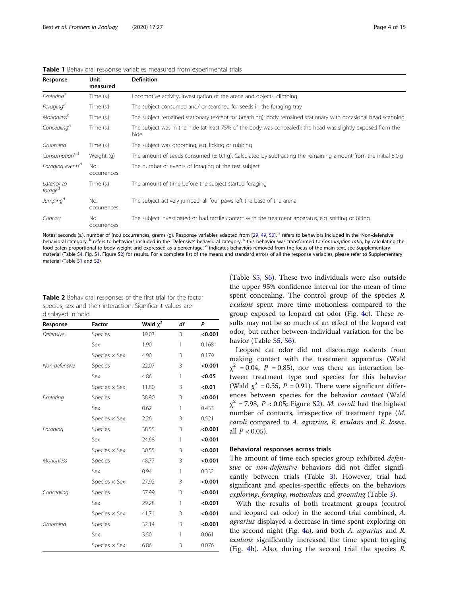<span id="page-3-0"></span>

| <b>Table 1</b> Behavioral response variables measured from experimental trials |  |
|--------------------------------------------------------------------------------|--|
|--------------------------------------------------------------------------------|--|

| Response                          | Unit<br>measured   | <b>Definition</b>                                                                                                          |
|-----------------------------------|--------------------|----------------------------------------------------------------------------------------------------------------------------|
| Exploring <sup>a</sup>            | Time (s.)          | Locomotive activity, investigation of the arena and objects, climbing                                                      |
| Foraging <sup>a</sup>             | Time (s.)          | The subject consumed and/ or searched for seeds in the foraging tray                                                       |
| Motionless <sup>b</sup>           | Time (s.)          | The subject remained stationary (except for breathing); body remained stationary with occasional head scanning             |
| Concealing <sup>b</sup>           | Time (s.)          | The subject was in the hide (at least 75% of the body was concealed); the head was slightly exposed from the<br>hide       |
| Grooming                          | Time (s.)          | The subject was grooming, e.g. licking or rubbing                                                                          |
| Consumption <sup>c,d</sup>        | Weight (g)         | The amount of seeds consumed $(\pm 0.1 \text{ g})$ . Calculated by subtracting the remaining amount from the initial 5.0 g |
| Foraging events <sup>d</sup>      | No.<br>occurrences | The number of events of foraging of the test subject                                                                       |
| Latency to<br>forage <sup>a</sup> | Time (s.)          | The amount of time before the subject started foraging                                                                     |
| Jumping <sup>d</sup>              | No.<br>occurrences | The subject actively jumped; all four paws left the base of the arena                                                      |
| Contact                           | No.<br>occurrences | The subject investigated or had tactile contact with the treatment apparatus, e.g. sniffing or biting                      |

Notes: seconds (s.), number of (no.) occurrences, grams (g). Response variables adapted from [[29,](#page-12-0) [49](#page-13-0), [50](#page-13-0)]. <sup>a</sup> refers to behaviors included in the 'Non-defensive' behavioral category.<sup>b</sup> refers to behaviors included in the 'Defensive' behavioral category.<sup>c</sup> this behavior was transformed to Consumption ratio, by calculating the food eaten proportional to body weight and expressed as a percentage.<sup>d</sup> indicates behaviors removed from the focus of the main text, see Supplementary material (Table S[4,](#page-11-0) Fig. S[1](#page-11-0), Figure S[2](#page-11-0)) for results. For a complete list of the means and standard errors of all the response variables, please refer to Supplementary material (Table S[1](#page-11-0) and [S2\)](#page-11-0)

| <b>Table 2</b> Behavioral responses of the first trial for the factor |
|-----------------------------------------------------------------------|
| species, sex and their interaction. Significant values are            |
| displayed in bold                                                     |

| Response          | <b>Factor</b>        | Wald $\chi^2$ | df | P       |
|-------------------|----------------------|---------------|----|---------|
| Defensive         | Species              | 19.03         | 3  | < 0.001 |
|                   | Sex                  | 1.90          | 1  | 0.168   |
|                   | Species $\times$ Sex | 4.90          | 3  | 0.179   |
| Non-defensive     | Species              | 22.07         | 3  | < 0.001 |
|                   | Sex                  | 4.86          | 1  | < 0.05  |
|                   | Species $\times$ Sex | 11.80         | 3  | < 0.01  |
| Exploring         | Species              | 38.90         | 3  | < 0.001 |
|                   | Sex                  | 0.62          | 1  | 0.433   |
|                   | Species $\times$ Sex | 2.26          | 3  | 0.521   |
| Foraging          | Species              | 38.55         | 3  | < 0.001 |
|                   | Sex                  | 24.68         | 1  | < 0.001 |
|                   | Species $\times$ Sex | 30.55         | 3  | < 0.001 |
| <b>Motionless</b> | Species              | 48.77         | 3  | < 0.001 |
|                   | Sex                  | 0.94          | 1  | 0.332   |
|                   | Species $\times$ Sex | 27.92         | 3  | < 0.001 |
| Concealing        | Species              | 57.99         | 3  | < 0.001 |
|                   | Sex                  | 29.28         | 1  | < 0.001 |
|                   | Species $\times$ Sex | 41.71         | 3  | < 0.001 |
| Grooming          | Species              | 32.14         | 3  | < 0.001 |
|                   | Sex                  | 3.50          | 1  | 0.061   |
|                   | Species $\times$ Sex | 6.86          | 3  | 0.076   |

(Table S[5,](#page-11-0) S[6\)](#page-11-0). These two individuals were also outside the upper 95% confidence interval for the mean of time spent concealing. The control group of the species R. exulans spent more time motionless compared to the group exposed to leopard cat odor (Fig. [4](#page-6-0)c). These results may not be so much of an effect of the leopard cat odor, but rather between-individual variation for the behavior (Table [S5](#page-11-0), [S6](#page-11-0)).

Leopard cat odor did not discourage rodents from making contact with the treatment apparatus (Wald  $\chi^2$  = 0.04, P = 0.85), nor was there an interaction between treatment type and species for this behavior (Wald  $\chi^2$  = 0.55, P = 0.91). There were significant differences between species for the behavior contact (Wald  $\chi^2$  = 7.98, P < 0.05; Figure S[2\)](#page-11-0). M. caroli had the highest number of contacts, irrespective of treatment type (M. caroli compared to A. agrarius, R. exulans and R. losea, all  $P < 0.05$ ).

#### Behavioral responses across trials

The amount of time each species group exhibited *defen*sive or non-defensive behaviors did not differ significantly between trials (Table [3](#page-5-0)). However, trial had significant and species-specific effects on the behaviors exploring, foraging, motionless and grooming (Table [3\)](#page-5-0).

With the results of both treatment groups (control and leopard cat odor) in the second trial combined, A. agrarius displayed a decrease in time spent exploring on the second night (Fig. [4a](#page-6-0)), and both A. agrarius and R. exulans significantly increased the time spent foraging (Fig. [4b](#page-6-0)). Also, during the second trial the species *.*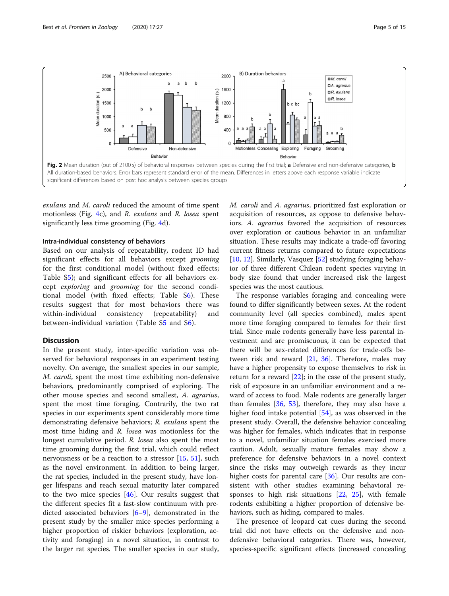<span id="page-4-0"></span>

exulans and M. caroli reduced the amount of time spent motionless (Fig. [4c](#page-6-0)), and R. exulans and R. losea spent significantly less time grooming (Fig. [4](#page-6-0)d).

#### Intra-individual consistency of behaviors

Based on our analysis of repeatability, rodent ID had significant effects for all behaviors except grooming for the first conditional model (without fixed effects; Table S[5\)](#page-11-0); and significant effects for all behaviors except exploring and grooming for the second conditional model (with fixed effects; Table [S6](#page-11-0)). These results suggest that for most behaviors there was within-individual consistency (repeatability) and between-individual variation (Table S[5](#page-11-0) and [S6](#page-11-0)).

#### Discussion

In the present study, inter-specific variation was observed for behavioral responses in an experiment testing novelty. On average, the smallest species in our sample, M. caroli, spent the most time exhibiting non-defensive behaviors, predominantly comprised of exploring. The other mouse species and second smallest, A. agrarius, spent the most time foraging. Contrarily, the two rat species in our experiments spent considerably more time demonstrating defensive behaviors; R. exulans spent the most time hiding and R. losea was motionless for the longest cumulative period. R. losea also spent the most time grooming during the first trial, which could reflect nervousness or be a reaction to a stressor [[15](#page-12-0), [51\]](#page-13-0), such as the novel environment. In addition to being larger, the rat species, included in the present study, have longer lifespans and reach sexual maturity later compared to the two mice species [[46](#page-13-0)]. Our results suggest that the different species fit a fast-slow continuum with predicted associated behaviors [[6](#page-12-0)–[9](#page-12-0)], demonstrated in the present study by the smaller mice species performing a higher proportion of riskier behaviors (exploration, activity and foraging) in a novel situation, in contrast to the larger rat species. The smaller species in our study, M. caroli and A. agrarius, prioritized fast exploration or acquisition of resources, as oppose to defensive behaviors. A. agrarius favored the acquisition of resources over exploration or cautious behavior in an unfamiliar situation. These results may indicate a trade-off favoring current fitness returns compared to future expectations [[10,](#page-12-0) [12\]](#page-12-0). Similarly, Vasquez [[52\]](#page-13-0) studying foraging behavior of three different Chilean rodent species varying in body size found that under increased risk the largest species was the most cautious.

The response variables foraging and concealing were found to differ significantly between sexes. At the rodent community level (all species combined), males spent more time foraging compared to females for their first trial. Since male rodents generally have less parental investment and are promiscuous, it can be expected that there will be sex-related differences for trade-offs between risk and reward [\[21](#page-12-0), [36](#page-13-0)]. Therefore, males may have a higher propensity to expose themselves to risk in return for a reward  $[22]$  $[22]$ ; in the case of the present study, risk of exposure in an unfamiliar environment and a reward of access to food. Male rodents are generally larger than females [\[36](#page-13-0), [53\]](#page-13-0), therefore, they may also have a higher food intake potential [\[54](#page-13-0)], as was observed in the present study. Overall, the defensive behavior concealing was higher for females, which indicates that in response to a novel, unfamiliar situation females exercised more caution. Adult, sexually mature females may show a preference for defensive behaviors in a novel context since the risks may outweigh rewards as they incur higher costs for parental care [\[36](#page-13-0)]. Our results are consistent with other studies examining behavioral responses to high risk situations [\[22,](#page-12-0) [25\]](#page-12-0), with female rodents exhibiting a higher proportion of defensive behaviors, such as hiding, compared to males.

The presence of leopard cat cues during the second trial did not have effects on the defensive and nondefensive behavioral categories. There was, however, species-specific significant effects (increased concealing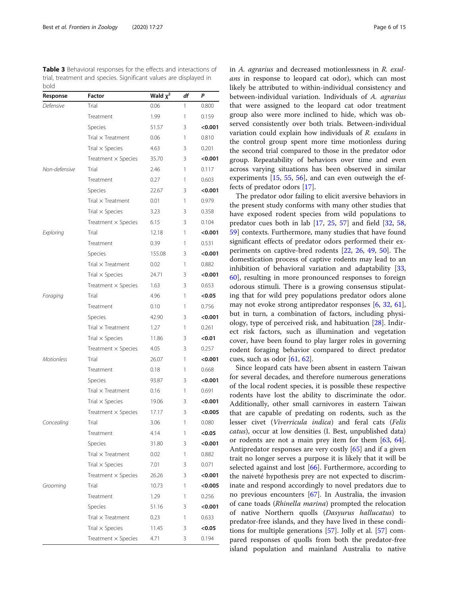<span id="page-5-0"></span>Table 3 Behavioral responses for the effects and interactions of trial, treatment and species. Significant values are displayed in bold

| Response          | Factor                     | Wald $x^2$ | df | P       |
|-------------------|----------------------------|------------|----|---------|
| Defensive         | Trial                      | 0.06       | 1  | 0.800   |
|                   | Treatment                  | 1.99       | 1  | 0.159   |
|                   | Species                    | 51.57      | 3  | < 0.001 |
|                   | Trial $\times$ Treatment   | 0.06       | 1  | 0.810   |
|                   | Trial $\times$ Species     | 4.63       | 3  | 0.201   |
|                   | Treatment $\times$ Species | 35.70      | 3  | < 0.001 |
| Non-defensive     | Trial                      | 2.46       | 1  | 0.117   |
|                   | Treatment                  | 0.27       | 1  | 0.603   |
|                   | Species                    | 22.67      | 3  | < 0.001 |
|                   | Trial $\times$ Treatment   | 0.01       | 1  | 0.979   |
|                   | Trial $\times$ Species     | 3.23       | 3  | 0.358   |
|                   | Treatment $\times$ Species | 6.15       | 3  | 0.104   |
| Exploring         | Trial                      | 12.18      | 1  | < 0.001 |
|                   | Treatment                  | 0.39       | 1  | 0.531   |
|                   | Species                    | 155.08     | 3  | < 0.001 |
|                   | Trial $\times$ Treatment   | 0.02       | 1  | 0.882   |
|                   | Trial $\times$ Species     | 24.71      | 3  | < 0.001 |
|                   | Treatment $\times$ Species | 1.63       | 3  | 0.653   |
| Foraging          | Trial                      | 4.96       | 1  | < 0.05  |
|                   | Treatment                  | 0.10       | 1  | 0.756   |
|                   | Species                    | 42.90      | 3  | < 0.001 |
|                   | Trial x Treatment          | 1.27       | 1  | 0.261   |
|                   | Trial $\times$ Species     | 11.86      | 3  | < 0.01  |
|                   | Treatment $\times$ Species | 4.05       | 3  | 0.257   |
| <b>Motionless</b> | Trial                      | 26.07      | 1  | < 0.001 |
|                   | Treatment                  | 0.18       | 1  | 0.668   |
|                   | Species                    | 93.87      | 3  | <0.001  |
|                   | Trial x Treatment          | 0.16       | 1  | 0.691   |
|                   | Trial $\times$ Species     | 19.06      | 3  | <0.001  |
|                   | Treatment $\times$ Species | 17.17      | 3  | <0.005  |
| Concealing        | Trial                      | 3.06       | 1  | 0.080   |
|                   | Treatment                  | 4.14       | 1  | <0.05   |
|                   | Species                    | 31.80      | 3  | < 0.001 |
|                   | Trial $\times$ Treatment   | 0.02       | 1  | 0.882   |
|                   | Trial $\times$ Species     | 7.01       | 3  | 0.071   |
|                   | Treatment $\times$ Species | 26.26      | 3  | < 0.001 |
| Grooming          | Trial                      | 10.73      | 1  | < 0.005 |
|                   | Treatment                  | 1.29       | 1  | 0.256   |
|                   | Species                    | 51.16      | 3  | <0.001  |
|                   | Trial $\times$ Treatment   | 0.23       | 1  | 0.633   |
|                   | Trial $\times$ Species     | 11.45      | 3  | < 0.05  |
|                   | Treatment $\times$ Species | 4.71       | 3  | 0.194   |

in A. agrarius and decreased motionlessness in R. exulans in response to leopard cat odor), which can most likely be attributed to within-individual consistency and between-individual variation. Individuals of A. agrarius that were assigned to the leopard cat odor treatment group also were more inclined to hide, which was observed consistently over both trials. Between-individual variation could explain how individuals of R. exulans in the control group spent more time motionless during the second trial compared to those in the predator odor group. Repeatability of behaviors over time and even across varying situations has been observed in similar experiments [[15](#page-12-0), [55,](#page-13-0) [56](#page-13-0)], and can even outweigh the effects of predator odors [\[17\]](#page-12-0).

The predator odor failing to elicit aversive behaviors in the present study conforms with many other studies that have exposed rodent species from wild populations to predator cues both in lab [[17,](#page-12-0) [25](#page-12-0), [57](#page-13-0)] and field [[32,](#page-13-0) [58](#page-13-0), [59\]](#page-13-0) contexts. Furthermore, many studies that have found significant effects of predator odors performed their experiments on captive-bred rodents [[22,](#page-12-0) [26,](#page-12-0) [49](#page-13-0), [50](#page-13-0)]. The domestication process of captive rodents may lead to an inhibition of behavioral variation and adaptability [[33](#page-13-0), [60\]](#page-13-0), resulting in more pronounced responses to foreign odorous stimuli. There is a growing consensus stipulating that for wild prey populations predator odors alone may not evoke strong antipredator responses [[6,](#page-12-0) [32,](#page-13-0) [61](#page-13-0)], but in turn, a combination of factors, including physiology, type of perceived risk, and habituation [[28](#page-12-0)]. Indirect risk factors, such as illumination and vegetation cover, have been found to play larger roles in governing rodent foraging behavior compared to direct predator cues, such as odor [[61,](#page-13-0) [62\]](#page-13-0).

Since leopard cats have been absent in eastern Taiwan for several decades, and therefore numerous generations of the local rodent species, it is possible these respective rodents have lost the ability to discriminate the odor. Additionally, other small carnivores in eastern Taiwan that are capable of predating on rodents, such as the lesser civet (Viverricula indica) and feral cats (Felis catus), occur at low densities (I. Best, unpublished data) or rodents are not a main prey item for them [\[63](#page-13-0), [64](#page-13-0)]. Antipredator responses are very costly [[65\]](#page-13-0) and if a given trait no longer serves a purpose it is likely that it will be selected against and lost [\[66](#page-13-0)]. Furthermore, according to the naiveté hypothesis prey are not expected to discriminate and respond accordingly to novel predators due to no previous encounters [\[67](#page-13-0)]. In Australia, the invasion of cane toads (Rhinella marina) prompted the relocation of native Northern quolls (Dasyurus hallucatus) to predator-free islands, and they have lived in these conditions for multiple generations [\[57](#page-13-0)]. Jolly et al. [[57\]](#page-13-0) compared responses of quolls from both the predator-free island population and mainland Australia to native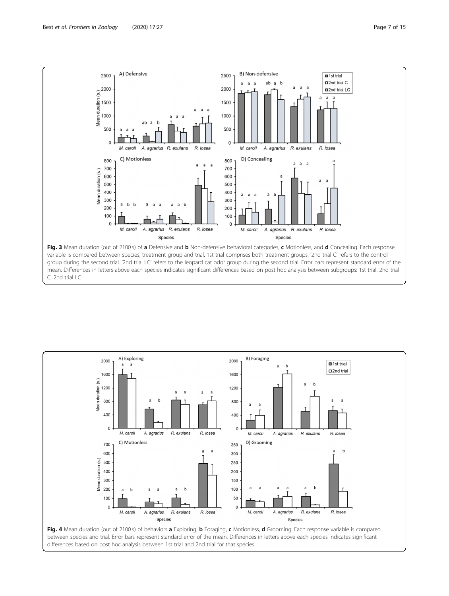<span id="page-6-0"></span>

C, 2nd trial LC

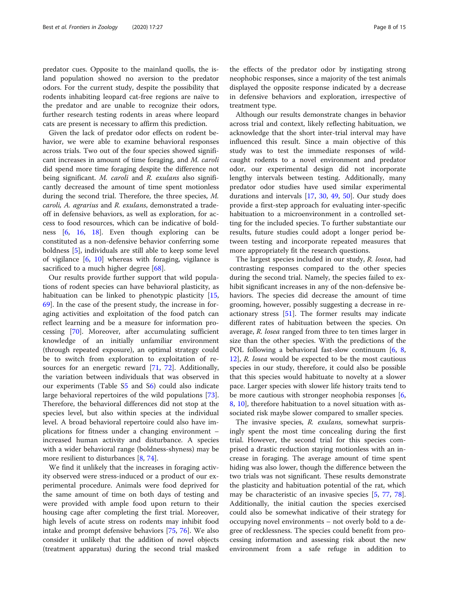predator cues. Opposite to the mainland quolls, the island population showed no aversion to the predator odors. For the current study, despite the possibility that rodents inhabiting leopard cat-free regions are naïve to the predator and are unable to recognize their odors, further research testing rodents in areas where leopard cats are present is necessary to affirm this prediction.

Given the lack of predator odor effects on rodent behavior, we were able to examine behavioral responses across trials. Two out of the four species showed significant increases in amount of time foraging, and M. caroli did spend more time foraging despite the difference not being significant. M. caroli and R. exulans also significantly decreased the amount of time spent motionless during the second trial. Therefore, the three species, M. caroli, A. agrarius and R. exulans, demonstrated a tradeoff in defensive behaviors, as well as exploration, for access to food resources, which can be indicative of boldness [[6,](#page-12-0) [16](#page-12-0), [18\]](#page-12-0). Even though exploring can be constituted as a non-defensive behavior conferring some boldness [[5\]](#page-12-0), individuals are still able to keep some level of vigilance [\[6,](#page-12-0) [10\]](#page-12-0) whereas with foraging, vigilance is sacrificed to a much higher degree [\[68](#page-13-0)].

Our results provide further support that wild populations of rodent species can have behavioral plasticity, as habituation can be linked to phenotypic plasticity [[15](#page-12-0), [69\]](#page-13-0). In the case of the present study, the increase in foraging activities and exploitation of the food patch can reflect learning and be a measure for information processing [[70](#page-13-0)]. Moreover, after accumulating sufficient knowledge of an initially unfamiliar environment (through repeated exposure), an optimal strategy could be to switch from exploration to exploitation of re-sources for an energetic reward [\[71](#page-13-0), [72](#page-13-0)]. Additionally, the variation between individuals that was observed in our experiments (Table [S5](#page-11-0) and S[6\)](#page-11-0) could also indicate large behavioral repertoires of the wild populations [\[73](#page-13-0)]. Therefore, the behavioral differences did not stop at the species level, but also within species at the individual level. A broad behavioral repertoire could also have implications for fitness under a changing environment – increased human activity and disturbance. A species with a wider behavioral range (boldness-shyness) may be more resilient to disturbances [\[8,](#page-12-0) [74\]](#page-13-0).

We find it unlikely that the increases in foraging activity observed were stress-induced or a product of our experimental procedure. Animals were food deprived for the same amount of time on both days of testing and were provided with ample food upon return to their housing cage after completing the first trial. Moreover, high levels of acute stress on rodents may inhibit food intake and prompt defensive behaviors [\[75](#page-13-0), [76](#page-13-0)]. We also consider it unlikely that the addition of novel objects (treatment apparatus) during the second trial masked the effects of the predator odor by instigating strong neophobic responses, since a majority of the test animals displayed the opposite response indicated by a decrease

treatment type. Although our results demonstrate changes in behavior across trial and context, likely reflecting habituation, we acknowledge that the short inter-trial interval may have influenced this result. Since a main objective of this study was to test the immediate responses of wildcaught rodents to a novel environment and predator odor, our experimental design did not incorporate lengthy intervals between testing. Additionally, many predator odor studies have used similar experimental durations and intervals [[17](#page-12-0), [30](#page-13-0), [49,](#page-13-0) [50\]](#page-13-0). Our study does provide a first-step approach for evaluating inter-specific habituation to a microenvironment in a controlled setting for the included species. To further substantiate our results, future studies could adopt a longer period between testing and incorporate repeated measures that more appropriately fit the research questions.

in defensive behaviors and exploration, irrespective of

The largest species included in our study, R. losea, had contrasting responses compared to the other species during the second trial. Namely, the species failed to exhibit significant increases in any of the non-defensive behaviors. The species did decrease the amount of time grooming, however, possibly suggesting a decrease in reactionary stress [\[51\]](#page-13-0). The former results may indicate different rates of habituation between the species. On average, R. losea ranged from three to ten times larger in size than the other species. With the predictions of the POL following a behavioral fast-slow continuum [[6,](#page-12-0) [8](#page-12-0), [12\]](#page-12-0), R. losea would be expected to be the most cautious species in our study, therefore, it could also be possible that this species would habituate to novelty at a slower pace. Larger species with slower life history traits tend to be more cautious with stronger neophobia responses  $[6, 6]$  $[6, 6]$ [8,](#page-12-0) [10\]](#page-12-0), therefore habituation to a novel situation with associated risk maybe slower compared to smaller species.

The invasive species, R. exulans, somewhat surprisingly spent the most time concealing during the first trial. However, the second trial for this species comprised a drastic reduction staying motionless with an increase in foraging. The average amount of time spent hiding was also lower, though the difference between the two trials was not significant. These results demonstrate the plasticity and habituation potential of the rat, which may be characteristic of an invasive species [\[5](#page-12-0), [77](#page-13-0), [78](#page-13-0)]. Additionally, the initial caution the species exercised could also be somewhat indicative of their strategy for occupying novel environments – not overly bold to a degree of recklessness. The species could benefit from processing information and assessing risk about the new environment from a safe refuge in addition to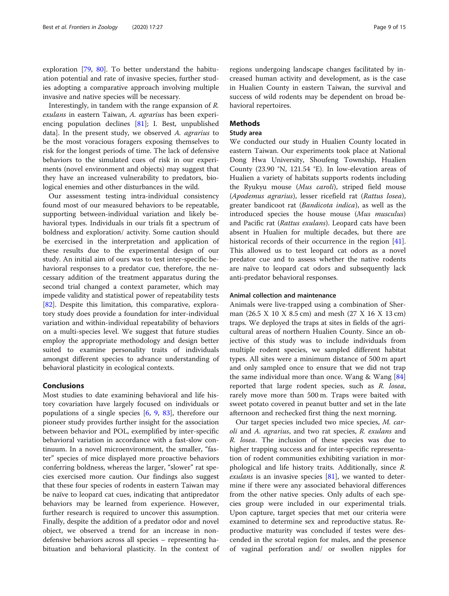exploration [\[79,](#page-13-0) [80\]](#page-13-0). To better understand the habituation potential and rate of invasive species, further studies adopting a comparative approach involving multiple invasive and native species will be necessary.

Interestingly, in tandem with the range expansion of R. exulans in eastern Taiwan, A. agrarius has been experiencing population declines [[81\]](#page-13-0); I. Best, unpublished data]. In the present study, we observed A. agrarius to be the most voracious foragers exposing themselves to risk for the longest periods of time. The lack of defensive behaviors to the simulated cues of risk in our experiments (novel environment and objects) may suggest that they have an increased vulnerability to predators, biological enemies and other disturbances in the wild.

Our assessment testing intra-individual consistency found most of our measured behaviors to be repeatable, supporting between-individual variation and likely behavioral types. Individuals in our trials fit a spectrum of boldness and exploration/ activity. Some caution should be exercised in the interpretation and application of these results due to the experimental design of our study. An initial aim of ours was to test inter-specific behavioral responses to a predator cue, therefore, the necessary addition of the treatment apparatus during the second trial changed a context parameter, which may impede validity and statistical power of repeatability tests [[82\]](#page-13-0). Despite this limitation, this comparative, exploratory study does provide a foundation for inter-individual variation and within-individual repeatability of behaviors on a multi-species level. We suggest that future studies employ the appropriate methodology and design better suited to examine personality traits of individuals amongst different species to advance understanding of behavioral plasticity in ecological contexts.

#### Conclusions

Most studies to date examining behavioral and life history covariation have largely focused on individuals or populations of a single species [\[6](#page-12-0), [9](#page-12-0), [83\]](#page-13-0), therefore our pioneer study provides further insight for the association between behavior and POL, exemplified by inter-specific behavioral variation in accordance with a fast-slow continuum. In a novel microenvironment, the smaller, "faster" species of mice displayed more proactive behaviors conferring boldness, whereas the larger, "slower" rat species exercised more caution. Our findings also suggest that these four species of rodents in eastern Taiwan may be naïve to leopard cat cues, indicating that antipredator behaviors may be learned from experience. However, further research is required to uncover this assumption. Finally, despite the addition of a predator odor and novel object, we observed a trend for an increase in nondefensive behaviors across all species – representing habituation and behavioral plasticity. In the context of

regions undergoing landscape changes facilitated by increased human activity and development, as is the case in Hualien County in eastern Taiwan, the survival and success of wild rodents may be dependent on broad behavioral repertoires.

#### Methods

#### Study area

We conducted our study in Hualien County located in eastern Taiwan. Our experiments took place at National Dong Hwa University, Shoufeng Township, Hualien County (23.90 °N, 121.54 °E). In low-elevation areas of Hualien a variety of habitats supports rodents including the Ryukyu mouse (Mus caroli), striped field mouse (Apodemus agrarius), lesser ricefield rat (Rattus losea), greater bandicoot rat (Bandicota indica), as well as the introduced species the house mouse (Mus musculus) and Pacific rat (Rattus exulans). Leopard cats have been absent in Hualien for multiple decades, but there are historical records of their occurrence in the region [\[41](#page-13-0)]. This allowed us to test leopard cat odors as a novel predator cue and to assess whether the native rodents are naïve to leopard cat odors and subsequently lack anti-predator behavioral responses.

#### Animal collection and maintenance

Animals were live-trapped using a combination of Sherman (26.5 X 10 X 8.5 cm) and mesh (27 X 16 X 13 cm) traps. We deployed the traps at sites in fields of the agricultural areas of northern Hualien County. Since an objective of this study was to include individuals from multiple rodent species, we sampled different habitat types. All sites were a minimum distance of 500 m apart and only sampled once to ensure that we did not trap the same individual more than once. Wang  $&$  Wang  $[84]$  $[84]$  $[84]$ reported that large rodent species, such as R. losea, rarely move more than 500 m. Traps were baited with sweet potato covered in peanut butter and set in the late afternoon and rechecked first thing the next morning.

Our target species included two mice species, M. caroli and A. agrarius, and two rat species, R. exulans and R. losea. The inclusion of these species was due to higher trapping success and for inter-specific representation of rodent communities exhibiting variation in morphological and life history traits. Additionally, since R. *exulans* is an invasive species  $[81]$  $[81]$ , we wanted to determine if there were any associated behavioral differences from the other native species. Only adults of each species group were included in our experimental trials. Upon capture, target species that met our criteria were examined to determine sex and reproductive status. Reproductive maturity was concluded if testes were descended in the scrotal region for males, and the presence of vaginal perforation and/ or swollen nipples for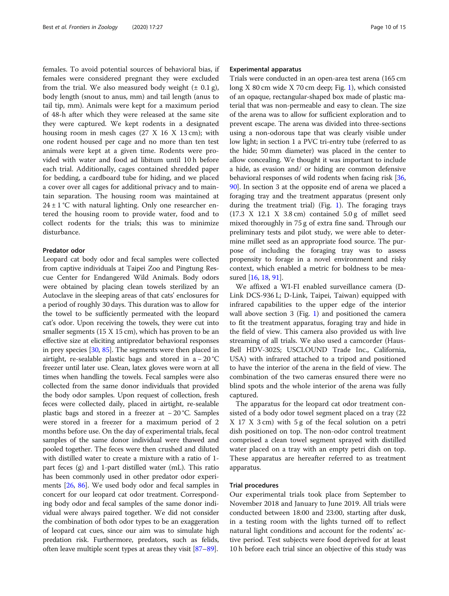females. To avoid potential sources of behavioral bias, if females were considered pregnant they were excluded from the trial. We also measured body weight  $(\pm 0.1 \text{ g})$ , body length (snout to anus, mm) and tail length (anus to tail tip, mm). Animals were kept for a maximum period of 48-h after which they were released at the same site they were captured. We kept rodents in a designated housing room in mesh cages (27 X 16 X 13 cm); with one rodent housed per cage and no more than ten test animals were kept at a given time. Rodents were provided with water and food ad libitum until 10 h before each trial. Additionally, cages contained shredded paper for bedding, a cardboard tube for hiding, and we placed a cover over all cages for additional privacy and to maintain separation. The housing room was maintained at  $24 \pm 1$  °C with natural lighting. Only one researcher entered the housing room to provide water, food and to collect rodents for the trials; this was to minimize disturbance.

#### Predator odor

Leopard cat body odor and fecal samples were collected from captive individuals at Taipei Zoo and Pingtung Rescue Center for Endangered Wild Animals. Body odors were obtained by placing clean towels sterilized by an Autoclave in the sleeping areas of that cats' enclosures for a period of roughly 30 days. This duration was to allow for the towel to be sufficiently permeated with the leopard cat's odor. Upon receiving the towels, they were cut into smaller segments (15 X 15 cm), which has proven to be an effective size at eliciting antipredator behavioral responses in prey species [\[30,](#page-13-0) [85](#page-14-0)]. The segments were then placed in airtight, re-sealable plastic bags and stored in a  $-20^{\circ}$ C freezer until later use. Clean, latex gloves were worn at all times when handling the towels. Fecal samples were also collected from the same donor individuals that provided the body odor samples. Upon request of collection, fresh feces were collected daily, placed in airtight, re-sealable plastic bags and stored in a freezer at − 20 °C. Samples were stored in a freezer for a maximum period of 2 months before use. On the day of experimental trials, fecal samples of the same donor individual were thawed and pooled together. The feces were then crushed and diluted with distilled water to create a mixture with a ratio of 1 part feces (g) and 1-part distilled water (mL). This ratio has been commonly used in other predator odor experiments [\[26,](#page-12-0) [86\]](#page-14-0). We used body odor and fecal samples in concert for our leopard cat odor treatment. Corresponding body odor and fecal samples of the same donor individual were always paired together. We did not consider the combination of both odor types to be an exaggeration of leopard cat cues, since our aim was to simulate high predation risk. Furthermore, predators, such as felids, often leave multiple scent types at areas they visit [\[87](#page-14-0)–[89](#page-14-0)].

#### Experimental apparatus

Trials were conducted in an open-area test arena (165 cm long X 80 cm wide X 70 cm deep; Fig. [1](#page-2-0)), which consisted of an opaque, rectangular-shaped box made of plastic material that was non-permeable and easy to clean. The size of the arena was to allow for sufficient exploration and to prevent escape. The arena was divided into three-sections using a non-odorous tape that was clearly visible under low light; in section 1 a PVC tri-entry tube (referred to as the hide; 50 mm diameter) was placed in the center to allow concealing. We thought it was important to include a hide, as evasion and/ or hiding are common defensive behavioral responses of wild rodents when facing risk [[36](#page-13-0), [90](#page-14-0)]. In section 3 at the opposite end of arena we placed a foraging tray and the treatment apparatus (present only during the treatment trial) (Fig. [1](#page-2-0)). The foraging trays (17.3 X 12.1 X 3.8 cm) contained 5.0 g of millet seed mixed thoroughly in 75 g of extra fine sand. Through our preliminary tests and pilot study, we were able to determine millet seed as an appropriate food source. The purpose of including the foraging tray was to assess propensity to forage in a novel environment and risky context, which enabled a metric for boldness to be measured [\[16](#page-12-0), [18](#page-12-0), [91\]](#page-14-0).

We affixed a WI-FI enabled surveillance camera (D-Link DCS-936 L; D-Link, Taipei, Taiwan) equipped with infrared capabilities to the upper edge of the interior wall above section 3 (Fig. [1](#page-2-0)) and positioned the camera to fit the treatment apparatus, foraging tray and hide in the field of view. This camera also provided us with live streaming of all trials. We also used a camcorder (Haus-Bell HDV-302S; USCLOUND Trade Inc., California, USA) with infrared attached to a tripod and positioned to have the interior of the arena in the field of view. The combination of the two cameras ensured there were no blind spots and the whole interior of the arena was fully captured.

The apparatus for the leopard cat odor treatment consisted of a body odor towel segment placed on a tray (22 X 17 X 3 cm) with 5 g of the fecal solution on a petri dish positioned on top. The non-odor control treatment comprised a clean towel segment sprayed with distilled water placed on a tray with an empty petri dish on top. These apparatus are hereafter referred to as treatment apparatus.

#### Trial procedures

Our experimental trials took place from September to November 2018 and January to June 2019. All trials were conducted between 18:00 and 23:00, starting after dusk, in a testing room with the lights turned off to reflect natural light conditions and account for the rodents' active period. Test subjects were food deprived for at least 10 h before each trial since an objective of this study was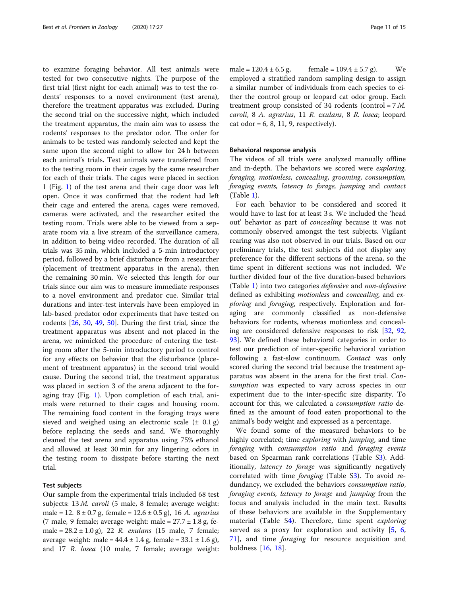to examine foraging behavior. All test animals were tested for two consecutive nights. The purpose of the first trial (first night for each animal) was to test the rodents' responses to a novel environment (test arena), therefore the treatment apparatus was excluded. During the second trial on the successive night, which included the treatment apparatus, the main aim was to assess the rodents' responses to the predator odor. The order for animals to be tested was randomly selected and kept the same upon the second night to allow for 24 h between each animal's trials. Test animals were transferred from to the testing room in their cages by the same researcher for each of their trials. The cages were placed in section 1 (Fig. [1\)](#page-2-0) of the test arena and their cage door was left open. Once it was confirmed that the rodent had left their cage and entered the arena, cages were removed, cameras were activated, and the researcher exited the testing room. Trials were able to be viewed from a separate room via a live stream of the surveillance camera, in addition to being video recorded. The duration of all trials was 35 min, which included a 5-min introductory period, followed by a brief disturbance from a researcher (placement of treatment apparatus in the arena), then the remaining 30 min. We selected this length for our trials since our aim was to measure immediate responses to a novel environment and predator cue. Similar trial durations and inter-test intervals have been employed in lab-based predator odor experiments that have tested on rodents [[26](#page-12-0), [30](#page-13-0), [49](#page-13-0), [50\]](#page-13-0). During the first trial, since the treatment apparatus was absent and not placed in the arena, we mimicked the procedure of entering the testing room after the 5-min introductory period to control for any effects on behavior that the disturbance (placement of treatment apparatus) in the second trial would cause. During the second trial, the treatment apparatus was placed in section 3 of the arena adjacent to the foraging tray (Fig. [1\)](#page-2-0). Upon completion of each trial, animals were returned to their cages and housing room. The remaining food content in the foraging trays were sieved and weighed using an electronic scale  $(\pm 0.1 \text{ g})$ before replacing the seeds and sand. We thoroughly cleaned the test arena and apparatus using 75% ethanol and allowed at least 30 min for any lingering odors in the testing room to dissipate before starting the next trial.

#### Test subjects

Our sample from the experimental trials included 68 test subjects: 13 *M. caroli* (5 male, 8 female; average weight: male = 12.  $8 \pm 0.7$  g, female = 12.6  $\pm$  0.5 g), 16 *A. agrarius* (7 male, 9 female; average weight: male =  $27.7 \pm 1.8$  g, female =  $28.2 \pm 1.0$  g), 22 *R. exulans* (15 male, 7 female; average weight: male =  $44.4 \pm 1.4$  g, female =  $33.1 \pm 1.6$  g), and 17 R. losea (10 male, 7 female; average weight: male =  $120.4 \pm 6.5$  g, female =  $109.4 \pm 5.7$  g). We employed a stratified random sampling design to assign a similar number of individuals from each species to either the control group or leopard cat odor group. Each treatment group consisted of 34 rodents (control = 7 M. caroli, 8 A. agrarius, 11 R. exulans, 8 R. losea; leopard cat odor =  $6, 8, 11, 9$ , respectively).

#### Behavioral response analysis

The videos of all trials were analyzed manually offline and in-depth. The behaviors we scored were exploring, foraging, motionless, concealing, grooming, consumption, foraging events, latency to forage, jumping and contact (Table [1\)](#page-3-0).

For each behavior to be considered and scored it would have to last for at least 3 s. We included the 'head out' behavior as part of concealing because it was not commonly observed amongst the test subjects. Vigilant rearing was also not observed in our trials. Based on our preliminary trials, the test subjects did not display any preference for the different sections of the arena, so the time spent in different sections was not included. We further divided four of the five duration-based behaviors (Table [1\)](#page-3-0) into two categories defensive and non-defensive defined as exhibiting motionless and concealing, and exploring and foraging, respectively. Exploration and foraging are commonly classified as non-defensive behaviors for rodents, whereas motionless and concealing are considered defensive responses to risk [[32,](#page-13-0) [92](#page-14-0), [93\]](#page-14-0). We defined these behavioral categories in order to test our prediction of inter-specific behavioral variation following a fast-slow continuum. Contact was only scored during the second trial because the treatment apparatus was absent in the arena for the first trial. Consumption was expected to vary across species in our experiment due to the inter-specific size disparity. To account for this, we calculated a consumption ratio defined as the amount of food eaten proportional to the animal's body weight and expressed as a percentage.

We found some of the measured behaviors to be highly correlated; time exploring with jumping, and time foraging with consumption ratio and foraging events based on Spearman rank correlations (Table S[3\)](#page-11-0). Additionally, latency to forage was significantly negatively correlated with time foraging (Table [S3\)](#page-11-0). To avoid redundancy, we excluded the behaviors consumption ratio, foraging events, latency to forage and jumping from the focus and analysis included in the main text. Results of these behaviors are available in the Supplementary material (Table [S4](#page-11-0)). Therefore, time spent exploring served as a proxy for exploration and activity [[5,](#page-12-0) [6](#page-12-0), [71\]](#page-13-0), and time foraging for resource acquisition and boldness [[16](#page-12-0), [18](#page-12-0)].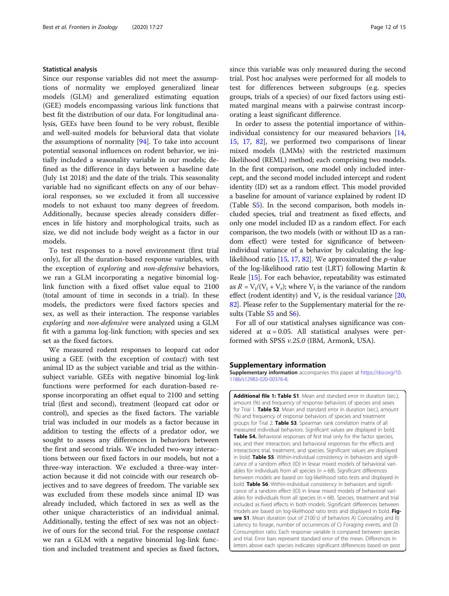#### <span id="page-11-0"></span>Statistical analysis

Since our response variables did not meet the assumptions of normality we employed generalized linear models (GLM) and generalized estimating equation (GEE) models encompassing various link functions that best fit the distribution of our data. For longitudinal analysis, GEEs have been found to be very robust, flexible and well-suited models for behavioral data that violate the assumptions of normality [[94](#page-14-0)]. To take into account potential seasonal influences on rodent behavior, we initially included a seasonality variable in our models; defined as the difference in days between a baseline date (July 1st 2018) and the date of the trials. This seasonality variable had no significant effects on any of our behavioral responses, so we excluded it from all successive models to not exhaust too many degrees of freedom. Additionally, because species already considers differences in life history and morphological traits, such as size, we did not include body weight as a factor in our models.

To test responses to a novel environment (first trial only), for all the duration-based response variables, with the exception of exploring and non-defensive behaviors, we ran a GLM incorporating a negative binomial loglink function with a fixed offset value equal to 2100 (total amount of time in seconds in a trial). In these models, the predictors were fixed factors species and sex, as well as their interaction. The response variables exploring and non-defensive were analyzed using a GLM fit with a gamma log-link function; with species and sex set as the fixed factors.

We measured rodent responses to leopard cat odor using a GEE (with the exception of contact) with test animal ID as the subject variable and trial as the withinsubject variable. GEEs with negative binomial log-link functions were performed for each duration-based response incorporating an offset equal to 2100 and setting trial (first and second), treatment (leopard cat odor or control), and species as the fixed factors. The variable trial was included in our models as a factor because in addition to testing the effects of a predator odor, we sought to assess any differences in behaviors between the first and second trials. We included two-way interactions between our fixed factors in our models, but not a three-way interaction. We excluded a three-way interaction because it did not coincide with our research objectives and to save degrees of freedom. The variable sex was excluded from these models since animal ID was already included, which factored in sex as well as the other unique characteristics of an individual animal. Additionally, testing the effect of sex was not an objective of ours for the second trial. For the response contact we ran a GLM with a negative binomial log-link function and included treatment and species as fixed factors, since this variable was only measured during the second trial. Post hoc analyses were performed for all models to test for differences between subgroups (e.g. species groups, trials of a species) of our fixed factors using estimated marginal means with a pairwise contrast incorporating a least significant difference.

In order to assess the potential importance of withinindividual consistency for our measured behaviors [[14](#page-12-0), [15,](#page-12-0) [17,](#page-12-0) [82](#page-13-0)], we performed two comparisons of linear mixed models (LMMs) with the restricted maximum likelihood (REML) method; each comprising two models. In the first comparison, one model only included intercept, and the second model included intercept and rodent identity (ID) set as a random effect. This model provided a baseline for amount of variance explained by rodent ID (Table S5). In the second comparison, both models included species, trial and treatment as fixed effects, and only one model included ID as a random effect. For each comparison, the two models (with or without ID as a random effect) were tested for significance of betweenindividual variance of a behavior by calculating the loglikelihood ratio  $[15, 17, 82]$  $[15, 17, 82]$  $[15, 17, 82]$  $[15, 17, 82]$  $[15, 17, 82]$  $[15, 17, 82]$  $[15, 17, 82]$ . We approximated the *p*-value of the log-likelihood ratio test (LRT) following Martin & Reale [[15](#page-12-0)]. For each behavior, repeatability was estimated as  $R = V_i/(V_i + V_r)$ ; where  $V_i$  is the variance of the random effect (rodent identity) and  $V_r$  is the residual variance [[20](#page-12-0), [82](#page-13-0)]. Please refer to the Supplementary material for the results (Table S5 and S6).

For all of our statistical analyses significance was considered at  $\alpha = 0.05$ . All statistical analyses were performed with SPSS v.25.0 (IBM, Armonk, USA).

#### Supplementary information

Supplementary information accompanies this paper at [https://doi.org/10.](https://doi.org/10.1186/s12983-020-00376-8) [1186/s12983-020-00376-8](https://doi.org/10.1186/s12983-020-00376-8).

Additional file 1: Table S1. Mean and standard error in duration (sec.) amount (%) and frequency of response behaviors of species and sexes for Trial 1. Table S2. Mean and standard error in duration (sec.), amount (%) and frequency of response behaviors of species and treatment groups for Trial 2. Table S3. Spearman rank correlation matrix of all measured individual behaviors. Significant values are displayed in bold. Table S4. Behavioral responses of first trial only for the factor species, sex, and their interaction; and behavioral responses for the effects and interactions trial, treatment, and species. Significant values are displayed in bold. Table S5. Within-individual consistency in behaviors and significance of a random effect (ID) in linear mixed models of behavioral variables for individuals from all species ( $n = 68$ ). Significant differences between models are based on log-likelihood ratio tests and displayed in bold. Table S6. Within-individual consistency in behaviors and significance of a random effect (ID) in linear mixed models of behavioral variables for individuals from all species ( $n = 68$ ). Species, treatment and trial included as fixed effects in both models. Significant differences between models are based on log-likelihood ratio tests and displayed in bold. Figure S1. Mean duration (out of 2100 s) of behaviors A) Concealing and B) Latency to forage, number of occurrences of C) Foraging events, and D) Consumption ratio. Each response variable is compared between species and trial. Error bars represent standard error of the mean. Differences in letters above each species indicates significant differences based on post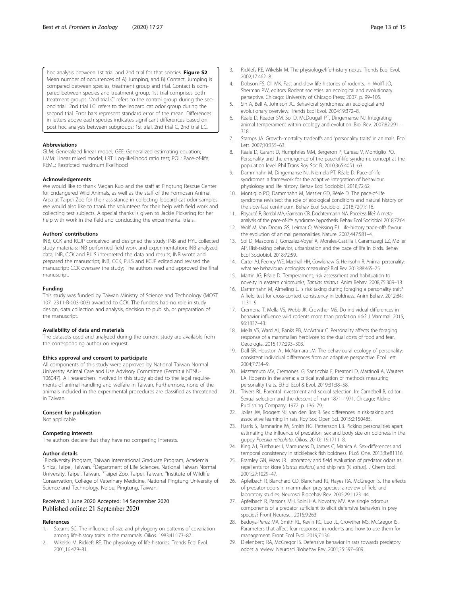<span id="page-12-0"></span>hoc analysis between 1st trial and 2nd trial for that species. Figure S2. Mean number of occurrences of A) Jumping, and B) Contact. Jumping is compared between species, treatment group and trial. Contact is compared between species and treatment group. 1st trial comprises both treatment groups. '2nd trial C' refers to the control group during the second trial. '2nd trial LC' refers to the leopard cat odor group during the second trial. Error bars represent standard error of the mean. Differences in letters above each species indicates significant differences based on post hoc analysis between subgroups: 1st trial, 2nd trial C, 2nd trial LC.

#### Abbreviations

GLM: Generalized linear model; GEE: Generalized estimating equation; LMM: Linear mixed model; LRT: Log-likelihood ratio test; POL: Pace-of-life; REML: Restricted maximum likelihood

#### Acknowledgements

We would like to thank Megan Kuo and the staff at Pingtung Rescue Center for Endangered Wild Animals, as well as the staff of the Formosan Animal Area at Taipei Zoo for their assistance in collecting leopard cat odor samples. We would also like to thank the volunteers for their help with field work and collecting test subjects. A special thanks is given to Jackie Pickering for her help with work in the field and conducting the experimental trials.

#### Authors' contributions

INB, CCK and KCJP conceived and designed the study; INB and HYL collected study materials; INB performed field work and experimentation; INB analyzed data; INB, CCK and PJLS interpreted the data and results; INB wrote and prepared the manuscript; INB, CCK, PJLS and KCJP edited and revised the manuscript; CCK oversaw the study; The authors read and approved the final manuscript.

#### Funding

This study was funded by Taiwan Ministry of Science and Technology (MOST 107–2311-B-003-003) awarded to CCK. The funders had no role in study design, data collection and analysis, decision to publish, or preparation of the manuscript.

#### Availability of data and materials

The datasets used and analyzed during the current study are available from the corresponding author on request.

#### Ethics approval and consent to participate

All components of this study were approved by National Taiwan Normal University Animal Care and Use Advisory Committee (Permit # NTNU-106047). All researchers involved in this study abided to the legal requirements of animal handling and welfare in Taiwan. Furthermore, none of the animals included in the experimental procedures are classified as threatened in Taiwan.

#### Consent for publication

Not applicable.

#### Competing interests

The authors declare that they have no competing interests.

#### Author details

<sup>1</sup> Biodiversity Program, Taiwan International Graduate Program, Academia Sinica, Taipei, Taiwan. <sup>2</sup>Department of Life Sciences, National Taiwan Normal University, Taipei, Taiwan. <sup>3</sup>Taipei Zoo, Taipei, Taiwan. <sup>4</sup>Institute of Wildlife Conservation, College of Veterinary Medicine, National Pingtung University of Science and Technology, Neipu, Pingtung, Taiwan.

#### Received: 1 June 2020 Accepted: 14 September 2020 Published online: 21 September 2020

#### References

- 1. Stearns SC. The influence of size and phylogeny on patterns of covariation among life-history traits in the mammals. Oikos. 1983;41:173–87.
- 2. Wikelski M, Ricklefs RE. The physiology of life histories. Trends Ecol Evol. 2001;16:479–81.
- 3. Ricklefs RE, Wikelski M. The physiology/life-history nexus. Trends Ecol Evol. 2002;17:462–8.
- 4. Dobson FS, Oli MK. Fast and slow life histories of rodents. In: Wolff JO, Sherman PW, editors. Rodent societies: an ecological and evolutionary perseptive. Chicago: University of Chicago Press; 2007. p. 99–105.
- 5. Sih A, Bell A, Johnson JC. Behavioral syndromes: an ecological and evolutionary overview. Trends Ecol Evol. 2004;19:372–8.
- 6. Réale D, Reader SM, Sol D, McDougall PT, Dingemanse NJ. Integrating animal temperament within ecology and evolution. Biol Rev. 2007;82:291– 318.
- 7. Stamps JA. Growth-mortality tradeoffs and 'personality traits' in animals. Ecol Lett. 2007;10:355-63.
- 8. Réale D, Garant D, Humphries MM, Bergeron P, Careau V, Montiglio PO. Personality and the emergence of the pace-of-life syndrome concept at the population level. Phil Trans Roy Soc B. 2010;365:4051–63.
- 9. Dammhahn M, Dingemanse NJ, Niemelä PT, Réale D. Pace-of-life syndromes: a framework for the adaptive integration of behaviour, physiology and life history. Behav Ecol Sociobiol. 2018;72:62.
- 10. Montiglio PO, Dammhahn M, Messier GD, Réale D. The pace-of-life syndrome revisited: the role of ecological conditions and natural history on the slow-fast continuum. Behav Ecol Sociobiol. 2018;72(7):116.
- 11. Royauté R, Berdal MA, Garrison CR, Dochtermann NA. Paceless life? A metaanalysis of the pace-of-life syndrome hypothesis. Behav Ecol Sociobiol. 2018;72:64.
- 12. Wolf M, Van Doorn GS, Leimar O, Weissing FJ. Life-history trade-offs favour the evolution of animal personalities. Nature. 2007;447:581–4.
- 13. Sol D, Maspons J, Gonzalez-Voyer A, Morales-Castilla I, Garamszegi LZ, Møller AP. Risk-taking behavior, urbanization and the pace of life in birds. Behav Ecol Sociobiol. 2018;72:59.
- 14. Carter AJ, Feeney WE, Marshall HH, Cowlishaw G, Heinsohn R. Animal personality: what are behavioural ecologists measuring? Biol Rev. 2013;88:465–75.
- 15. Martin JG, Réale D. Temperament, risk assessment and habituation to novelty in eastern chipmunks, Tamias striatus. Anim Behav. 2008;75:309–18.
- 16. Dammhahn M, Almeling L. Is risk taking during foraging a personality trait? A field test for cross-context consistency in boldness. Anim Behav. 2012;84: 1131–9.
- 17. Cremona T, Mella VS, Webb JK, Crowther MS. Do individual differences in behavior influence wild rodents more than predation risk? J Mammal. 2015; 96:1337–43.
- 18. Mella VS, Ward AJ, Banks PB, McArthur C. Personality affects the foraging response of a mammalian herbivore to the dual costs of food and fear. Oecologia. 2015;177:293–303.
- 19. Dall SR, Houston AI, McNamara JM. The behavioural ecology of personality: consistent individual differences from an adaptive perspective. Ecol Lett. 2004;7:734–9.
- 20. Mazzamuto MV, Cremonesi G, Santicchia F, Preatoni D, Martinoli A, Wauters LA. Rodents in the arena: a critical evaluation of methods measuring personality traits. Ethol Ecol & Evol. 2019;31:38–58.
- 21. Trivers RL. Parental investment and sexual selection. In: Campbell B, editor. Sexual selection and the descent of man 1871–1971. Chicago: Aldine Publishing Company; 1972. p. 136–79.
- 22. Jolles JW, Boogert NJ, van den Bos R. Sex differences in risk-taking and associative learning in rats. Roy Soc Open Sci. 2015;2:150485.
- 23. Harris S, Ramnarine IW, Smith HG, Pettersson LB. Picking personalities apart: estimating the influence of predation, sex and body size on boldness in the guppy Poecilia reticulata. Oikos. 2010;119:1711–8.
- 24. King AJ, Fürtbauer I, Mamuneas D, James C, Manica A. Sex-differences and temporal consistency in stickleback fish boldness. PLoS One. 2013;8:e81116.
- 25. Bramley GN, Waas JR. Laboratory and field evaluation of predator odors as repellents for kiore (Rattus exulans) and ship rats (R. rattus). J Chem Ecol. 2001;27:1029–47.
- 26. Apfelbach R, Blanchard CD, Blanchard RJ, Hayes RA, McGregor IS. The effects of predator odors in mammalian prey species: a review of field and laboratory studies. Neurosci Biobehav Rev. 2005;29:1123–44.
- 27. Apfelbach R, Parsons MH, Soini HA, Novotny MV. Are single odorous components of a predator sufficient to elicit defensive behaviors in prey species? Front Neurosci. 2015;9:263.
- 28. Bedoya-Perez MA, Smith KL, Kevin RC, Luo JL, Crowther MS, McGregor IS. Parameters that affect fear responses in rodents and how to use them for management. Front Ecol Evol. 2019;7:136.
- 29. Dielenberg RA, McGregor IS. Defensive behavior in rats towards predatory odors: a review. Neurosci Biobehav Rev. 2001;25:597–609.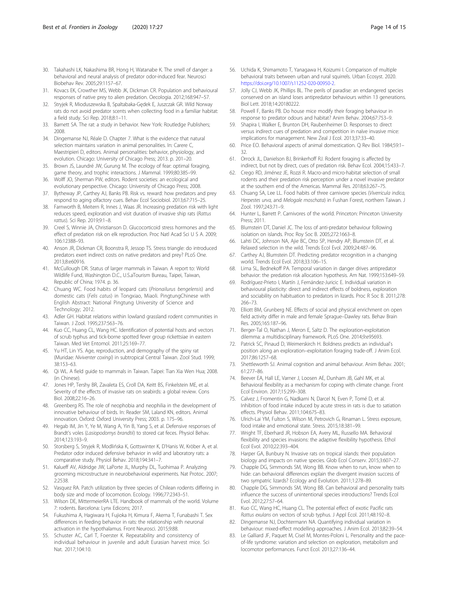- <span id="page-13-0"></span>30. Takahashi LK, Nakashima BR, Hong H, Watanabe K. The smell of danger: a behavioral and neural analysis of predator odor-induced fear. Neurosci Biobehav Rev. 2005;29:1157–67.
- 31. Kovacs EK, Crowther MS, Webb JK, Dickman CR. Population and behavioural responses of native prey to alien predation. Oecologia. 2012;168:947–57.
- 32. Stryjek R, Mioduszewska B, Spaltabaka-Gędek E, Juszczak GR. Wild Norway rats do not avoid predator scents when collecting food in a familiar habitat: a field study. Sci Rep. 2018;8:1–11.
- 33. Barnett SA. The rat: a study in behavior. New York: Routledge Publishers; 2008.
- 34. Dingemanse NJ, Réale D. Chapter 7. What is the evidence that natural selection maintains variation in animal personalities. In: Carere C, Maestripieri D, editors. Animal personalities: behavior, physiology, and evolution. Chicago: University of Chicago Press; 2013. p. 201–20.
- 35. Brown JS, Laundré JW, Gurung M. The ecology of fear: optimal foraging, game theory, and trophic interactions. J Mammal. 1999;80:385–99.
- 36. Wolff JO, Sherman PW, editors. Rodent societies: an ecological and evolutionary perspective. Chicago: University of Chicago Press; 2008.
- 37. Bytheway JP, Carthey AJ, Banks PB. Risk vs. reward: how predators and prey respond to aging olfactory cues. Behav Ecol Sociobiol. 2013;67:715–25.
- 38. Farnworth B, Meitern R, Innes J, Waas JR. Increasing predation risk with light reduces speed, exploration and visit duration of invasive ship rats (Rattus rattus). Sci Rep. 2019;9:1–8.
- 39. Creel S, Winnie JA, Christianson D. Glucocorticoid stress hormones and the effect of predation risk on elk reproduction. Proc Natl Acad Sci U S A. 2009; 106:12388–93.
- 40. Anson JR, Dickman CR, Boonstra R, Jessop TS. Stress triangle: do introduced predators exert indirect costs on native predators and prey? PLoS One. 2013;8:e60916.
- 41. McCullough DR. Status of larger mammals in Taiwan. A report to: World Wildlife Fund, Washington D.C., U.S.aTourism Bureau, Taipei, Taiwan, Republic of China; 1974. p. 36.
- 42. Chuang WC. Food habits of leopard cats (Prionailurus bengelensis) and domestic cats (Felis catus) in Tongxiao, Miaoli. PingtungChinese with English Abstract: National Pingtung University of Science and Technology; 2012.
- 43. Adler GH. Habitat relations within lowland grassland rodent communities in Taiwan. J Zool. 1995;237:563–76.
- 44. Kuo CC, Huang CL, Wang HC. Identification of potential hosts and vectors of scrub typhus and tick-borne spotted fever group rickettsiae in eastern Taiwan. Med Vet Entomol. 2011;25:169–77.
- 45. Yu HT, Lin YS. Age, reproduction, and demography of the spiny rat (Muridae: Niviventer coxingi) in subtropical Central Taiwan. Zool Stud. 1999; 38:153–63.
- 46. Qi WL. A field guide to mammals in Taiwan. Taipei: Tian Xia Wen Hua; 2008. (in Chinese).
- 47. Jones HP, Tershy BR, Zavaleta ES, Croll DA, Keitt BS, Finkelstein ME, et al. Severity of the effects of invasive rats on seabirds: a global review. Cons Biol. 2008;22:16–26.
- 48. Greenberg RS. The role of neophobia and neophilia in the development of innovative behaviour of birds. In: Reader SM, Laland KN, editors. Animal innovation. Oxford: Oxford University Press; 2003. p. 175–96.
- 49. Hegab IM, Jin Y, Ye M, Wang A, Yin B, Yang S, et al. Defensive responses of Brandt's voles (Lasiopodomys brandtii) to stored cat feces. Physiol Behav. 2014;123:193–9.
- 50. Storsberg S, Stryjek R, Modlińska K, Gottswinter K, D'Hanis W, Kröber A, et al. Predator odor induced defensive behavior in wild and laboratory rats: a comparative study. Physiol Behav. 2018;194:341–7.
- 51. Kalueff AV, Aldridge JW, LaPorte JL, Murphy DL, Tuohimaa P. Analyzing grooming microstructure in neurobehavioral experiments. Nat Protoc. 2007; 2:2538.
- 52. Vasquez RA. Patch utilization by three species of Chilean rodents differing in body size and mode of locomotion. Ecology. 1996;77:2343–51.
- 53. Wilson DE, MittermeierRA LTE. Handbook of mammals of the world. Volume 7: rodents. Barcelona: Lynx Edicons; 2017.
- 54. Fukushima A, Hagiwara H, Fujioka H, Kimura F, Akema T, Funabashi T. Sex differences in feeding behavior in rats: the relationship with neuronal activation in the hypothalamus. Front Neurosci. 2015;9:88.
- 55. Schuster AC, Carl T, Foerster K. Repeatability and consistency of individual behaviour in juvenile and adult Eurasian harvest mice. Sci Nat. 2017;104:10.
- 56. Uchida K, Shimamoto T, Yanagawa H, Koizumi I. Comparison of multiple behavioral traits between urban and rural squirrels. Urban Ecosyst. 2020. [https://doi.org/10.1007/s11252-020-00950-2.](https://doi.org/10.1007/s11252-020-00950-2)
- 57. Jolly CJ, Webb JK, Phillips BL. The perils of paradise: an endangered species conserved on an island loses antipredator behaviours within 13 generations. Biol Lett. 2018;14:20180222.
- 58. Powell F, Banks PB. Do house mice modify their foraging behaviour in response to predator odours and habitat? Anim Behav. 2004;67:753–9.
- 59. Shapira I, Walker E, Brunton DH, Raubenheimer D. Responses to direct versus indirect cues of predation and competition in naϊve invasive mice: implications for management. New Zeal J Ecol. 2013;37:33–40.
- 60. Price EO. Behavioral aspects of animal domestication. Q Rev Biol. 1984;59:1– 32.
- 61. Orrock JL, Danielson BJ, Brinkerhoff RJ. Rodent foraging is affected by indirect, but not by direct, cues of predation risk. Behav Ecol. 2004;15:433–7.
- 62. Crego RD, Jiménez JE, Rozzi R. Macro-and micro-habitat selection of small rodents and their predation risk perception under a novel invasive predator at the southern end of the Americas. Mammal Res. 2018;63:267–75.
- 63. Chuang SA, Lee LL. Food habits of three carnivore species (Viverricula indica, Herpestes urva, and Melogale moschata) in Fushan Forest, northern Taiwan. J Zool. 1997;243:71–9.
- 64. Hunter L, Barrett P. Carnivores of the world. Princeton: Princeton University Press; 2011.
- 65. Blumstein DT, Daniel JC. The loss of anti-predator behaviour following isolation on islands. Proc Roy Soc B. 2005;272:1663–8.
- 66. Lahti DC, Johnson NA, Ajie BC, Otto SP, Hendry AP, Blumstein DT, et al. Relaxed selection in the wild. Trends Ecol Evol. 2009;24:487–96.
- 67. Carthey AJ, Blumstein DT. Predicting predator recognition in a changing world. Trends Ecol Evol. 2018;33:106–15.
- 68. Lima SL, Bednekoff PA. Temporal variation in danger drives antipredator behavior: the predation risk allocation hypothesis. Am Nat. 1999;153:649–59.
- 69. Rodríguez-Prieto I, Martín J, Fernández-Juricic E. Individual variation in behavioural plasticity: direct and indirect effects of boldness, exploration and sociability on habituation to predators in lizards. Proc R Soc B. 2011;278: 266–73.
- 70. Elliott BM, Grunberg NE. Effects of social and physical enrichment on open field activity differ in male and female Sprague–Dawley rats. Behav Brain Res. 2005;165:187–96.
- 71. Berger-Tal O, Nathan J, Meron E, Saltz D. The exploration-exploitation dilemma: a multidisciplinary framework. PLoS One. 2014;9:e95693.
- 72. Patrick SC, Pinaud D, Weimerskirch H. Boldness predicts an individual's position along an exploration–exploitation foraging trade-off. J Anim Ecol. 2017;86:1257–68.
- 73. Shettleworth SJ. Animal cognition and animal behaviour. Anim Behav. 2001; 61:277–86.
- 74. Beever EA, Hall LE, Varner J, Loosen AE, Dunham JB, Gahl MK, et al. Behavioral flexibility as a mechanism for coping with climate change. Front Ecol Environ. 2017;15:299–308.
- 75. Calvez J, Fromentin G, Nadkarni N, Darcel N, Even P, Tomé D, et al. Inhibition of food intake induced by acute stress in rats is due to satiation effects. Physiol Behav. 2011;104:675–83.
- 76. Ulrich-Lai YM, Fulton S, Wilson M, Petrovich G, Rinaman L. Stress exposure, food intake and emotional state. Stress. 2015;18:381–99.
- 77. Wright TF, Eberhard JR, Hobson EA, Avery ML, Russello MA. Behavioral flexibility and species invasions: the adaptive flexibility hypothesis. Ethol Ecol Evol. 2010;22:393–404.
- 78. Harper GA, Bunbury N. Invasive rats on tropical islands: their population biology and impacts on native species. Glob Ecol Conserv. 2015;3:607–27.
- 79. Chapple DG, Simmonds SM, Wong BB. Know when to run, know when to hide: can behavioral differences explain the divergent invasion success of two sympatric lizards? Ecology and Evolution. 2011;1:278–89.
- 80. Chapple DG, Simmonds SM, Wong BB. Can behavioral and personality traits influence the success of unintentional species introductions? Trends Ecol Evol. 2012;27:57–64.
- 81. Kuo CC, Wang HC, Huang CL. The potential effect of exotic Pacific rats Rattus exulans on vectors of scrub typhus. J Appl Ecol. 2011;48:192–8.
- 82. Dingemanse NJ, Dochtermann NA. Quantifying individual variation in behaviour: mixed-effect modelling approaches. J Anim Ecol. 2013;82:39–54.
- 83. Le Galliard JF, Paquet M, Cisel M, Montes-Poloni L. Personality and the paceof-life syndrome: variation and selection on exploration, metabolism and locomotor performances. Funct Ecol. 2013;27:136–44.